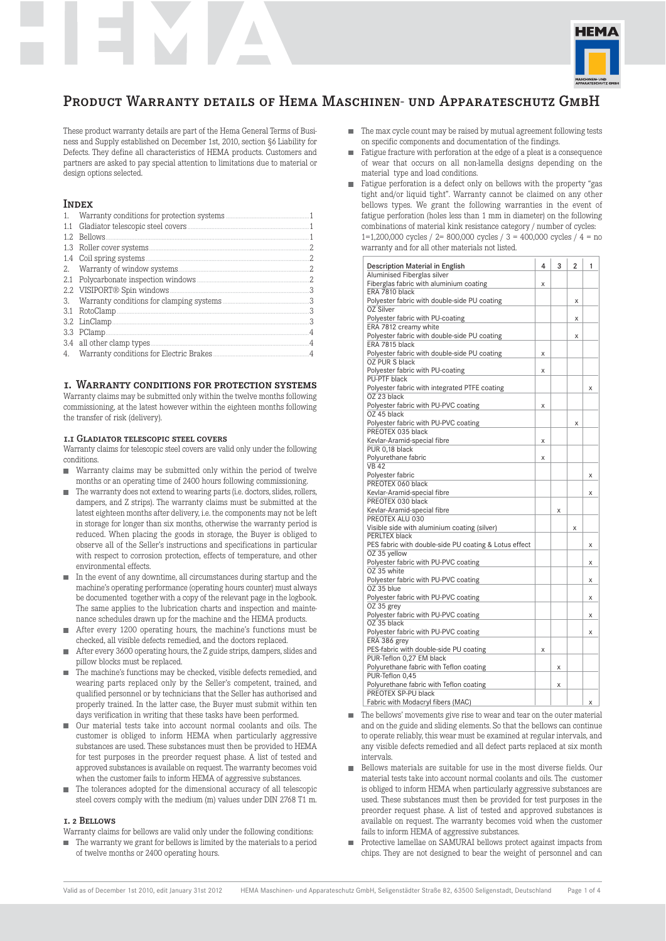

These product warranty details are part of the Hema General Terms of Business and Supply established on December 1st, 2010, section §6 Liability for Defects. They define all characteristics of HEMA products. Customers and partners are asked to pay special attention to limitations due to material or design options selected.

# **INDEX**

| 1.1 |                            |                |
|-----|----------------------------|----------------|
|     | 1.2 Bellows                | -1             |
|     |                            | 2              |
|     | 1.4 Coil spring systems.   | 2.             |
|     |                            | .2             |
|     |                            | 2              |
|     | 2.2 VISIPORT® Spin windows | 3              |
| 3.  |                            | 3              |
|     | 3.1 RotoClamp              | 3              |
|     | 3.2 LinClamp               | 3              |
|     | 3.3 PClamp                 | 4              |
|     | 3.4 all other clamp types  | $\overline{A}$ |
|     |                            | $\overline{A}$ |
|     |                            |                |

## 1. Warranty conditions for protection systems

Warranty claims may be submitted only within the twelve months following commissioning, at the latest however within the eighteen months following the transfer of risk (delivery).

### 1.1 Gladiator telescopic steel covers

Warranty claims for telescopic steel covers are valid only under the following conditions.

- Warranty claims may be submitted only within the period of twelve months or an operating time of 2400 hours following commissioning.
- The warranty does not extend to wearing parts (i.e. doctors, slides, rollers, dampers, and Z strips). The warranty claims must be submitted at the latest eighteen months after delivery, i.e. the components may not be left in storage for longer than six months, otherwise the warranty period is reduced. When placing the goods in storage, the Buyer is obliged to observe all of the Seller's instructions and specifications in particular with respect to corrosion protection, effects of temperature, and other environmental effects.
- In the event of any downtime, all circumstances during startup and the machine's operating performance (operating hours counter) must always be documented together with a copy of the relevant page in the logbook. The same applies to the lubrication charts and inspection and maintenance schedules drawn up for the machine and the HEMA products.
- After every 1200 operating hours, the machine's functions must be checked, all visible defects remedied, and the doctors replaced.
- After every 3600 operating hours, the Z guide strips, dampers, slides and pillow blocks must be replaced.
- The machine's functions may be checked, visible defects remedied, and wearing parts replaced only by the Seller's competent, trained, and qualified personnel or by technicians that the Seller has authorised and properly trained. In the latter case, the Buyer must submit within ten days verification in writing that these tasks have been performed.
- Our material tests take into account normal coolants and oils. The customer is obliged to inform HEMA when particularly aggressive substances are used. These substances must then be provided to HEMA for test purposes in the preorder request phase. A list of tested and approved substances is available on request. The warranty becomes void when the customer fails to inform HEMA of aggressive substances.
- The tolerances adopted for the dimensional accuracy of all telescopic steel covers comply with the medium (m) values under DIN 2768 T1 m.

#### 1. 2 Bellows

- Warranty claims for bellows are valid only under the following conditions:
- $\blacksquare$  The warranty we grant for bellows is limited by the materials to a period of twelve months or 2400 operating hours.
- $\blacksquare$  The max cycle count may be raised by mutual agreement following tests on specific components and documentation of the findings.
- Fatigue fracture with perforation at the edge of a pleat is a consequence  $\blacksquare$ of wear that occurs on all non-lamella designs depending on the material type and load conditions.
- **Fatigue perforation is a defect only on bellows with the property "gas** tight and/or liquid tight". Warranty cannot be claimed on any other bellows types. We grant the following warranties in the event of fatigue perforation (holes less than 1 mm in diameter) on the following combinations of material kink resistance category / number of cycles: 1=1,200,000 cycles / 2= 800,000 cycles / 3 = 400,000 cycles / 4 = no warranty and for all other materials not listed.

| Description Material in English                                |   | 3 | $\overline{2}$ | 1 |
|----------------------------------------------------------------|---|---|----------------|---|
| Aluminised Fiberglas silver                                    |   |   |                |   |
| Fiberglas fabric with aluminium coating                        | X |   |                |   |
| ERA 7810 black                                                 |   |   |                |   |
| Polyester fabric with double-side PU coating                   |   |   | X              |   |
| OZ Silver                                                      |   |   |                |   |
| Polyester fabric with PU-coating                               |   |   | X              |   |
| ERA 7812 creamy white                                          |   |   |                |   |
| Polyester fabric with double-side PU coating<br>ERA 7815 black |   |   | Χ              |   |
| Polyester fabric with double-side PU coating                   | Χ |   |                |   |
| OZ PUR S black                                                 |   |   |                |   |
| Polvester fabric with PU-coating                               | Χ |   |                |   |
| PU-PTF black                                                   |   |   |                |   |
| Polyester fabric with integrated PTFE coating                  |   |   |                | X |
| OZ 23 black                                                    |   |   |                |   |
| Polyester fabric with PU-PVC coating                           | X |   |                |   |
| OZ 45 black                                                    |   |   |                |   |
| Polyester fabric with PU-PVC coating                           |   |   | Χ              |   |
| PREOTEX 035 black                                              |   |   |                |   |
| Kevlar-Aramid-special fibre                                    | Χ |   |                |   |
| PUR 0,18 black                                                 |   |   |                |   |
| Polyurethane fabric                                            | Χ |   |                |   |
| <b>VB42</b>                                                    |   |   |                |   |
| Polyester fabric                                               |   |   |                | X |
| PREOTEX 060 black                                              |   |   |                |   |
| Kevlar-Aramid-special fibre                                    |   |   |                | X |
| PREOTEX 030 black                                              |   |   |                |   |
| Kevlar-Aramid-special fibre                                    |   | Χ |                |   |
| PREOTEX ALU 030                                                |   |   |                |   |
| Visible side with aluminium coating (silver)                   |   |   | X              |   |
| PERLTEX black                                                  |   |   |                |   |
| PES fabric with double-side PU coating & Lotus effect          |   |   |                | X |
| OZ 35 yellow                                                   |   |   |                |   |
| Polyester fabric with PU-PVC coating                           |   |   |                | Х |
| OZ 35 white                                                    |   |   |                |   |
| Polyester fabric with PU-PVC coating                           |   |   |                | X |
| OZ 35 blue                                                     |   |   |                |   |
| Polyester fabric with PU-PVC coating                           |   |   |                | X |
| OZ 35 grey                                                     |   |   |                |   |
| Polyester fabric with PU-PVC coating                           |   |   |                | Χ |
| OZ 35 black                                                    |   |   |                |   |
| Polyester fabric with PU-PVC coating                           |   |   |                | X |
| ERA 386 grey                                                   |   |   |                |   |
| PES-fabric with double-side PU coating                         | Χ |   |                |   |
| PUR-Teflon 0,27 EM black                                       |   |   |                |   |
| Polyurethane fabric with Teflon coating                        |   | X |                |   |
| PUR-Teflon 0,45                                                |   |   |                |   |
| Polyurethane fabric with Teflon coating                        |   | Χ |                |   |
| PREOTEX SP-PU black                                            |   |   |                |   |
| Fabric with Modacryl fibers (MAC)                              |   |   |                | Χ |

- $\blacksquare$  The bellows' movements give rise to wear and tear on the outer material and on the guide and sliding elements. So that the bellows can continue to operate reliably, this wear must be examined at regular intervals, and any visible defects remedied and all defect parts replaced at six month intervals.
- Bellows materials are suitable for use in the most diverse fields. Our material tests take into account normal coolants and oils. The customer is obliged to inform HEMA when particularly aggressive substances are used. These substances must then be provided for test purposes in the preorder request phase. A list of tested and approved substances is available on request. The warranty becomes void when the customer fails to inform HEMA of aggressive substances.
- Protective lamellae on SAMURAI bellows protect against impacts from  $\mathbf{r}$ chips. They are not designed to bear the weight of personnel and can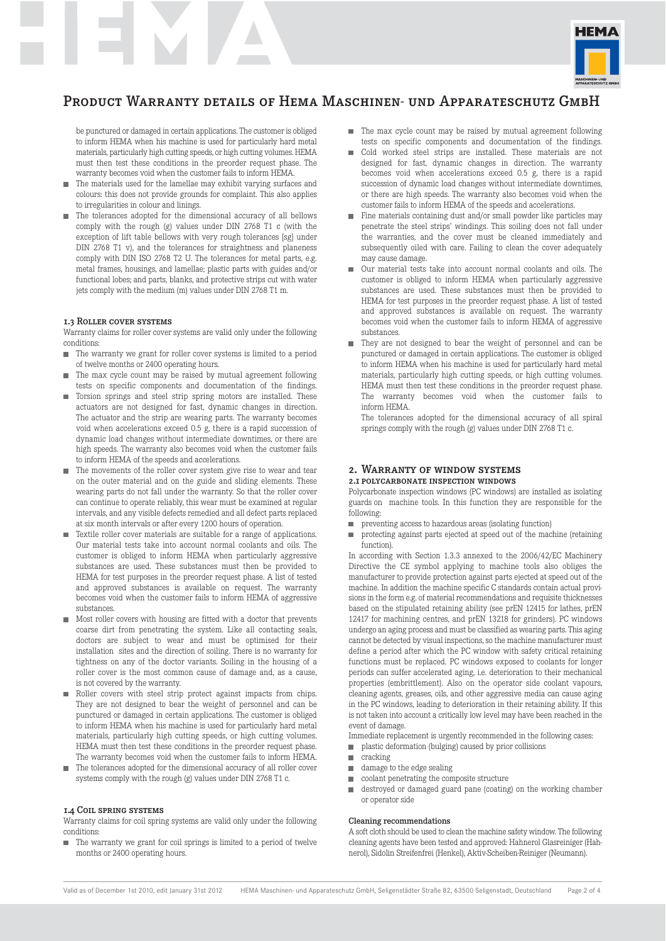

be punctured or damaged in certain applications. The customer is obliged to inform HEMA when his machine is used for particularly hard metal materials, particularly high cutting speeds, or high cutting volumes. HEMA must then test these conditions in the preorder request phase. The warranty becomes void when the customer fails to inform HEMA.

- $\blacksquare$  The materials used for the lamellae may exhibit varying surfaces and colours: this does not provide grounds for complaint. This also applies to irregularities in colour and linings.
- $\blacksquare$  The tolerances adopted for the dimensional accuracy of all bellows comply with the rough (g) values under DIN 2768 T1 c (with the exception of lift table bellows with very rough tolerances [sg] under DIN 2768 T1 v), and the tolerances for straightness and planeness comply with DIN ISO 2768 T2 U. The tolerances for metal parts, e.g. metal frames, housings, and lamellae; plastic parts with guides and/or functional lobes; and parts, blanks, and protective strips cut with water jets comply with the medium (m) values under DIN 2768 T1 m.

### 1.3 Roller cover systems

Warranty claims for roller cover systems are valid only under the following conditions:

- The warranty we grant for roller cover systems is limited to a period of twelve months or 2400 operating hours.
- The max cycle count may be raised by mutual agreement following tests on specific components and documentation of the findings.
- Torsion springs and steel strip spring motors are installed. These actuators are not designed for fast, dynamic changes in direction. The actuator and the strip are wearing parts. The warranty becomes void when accelerations exceed 0.5 g, there is a rapid succession of dynamic load changes without intermediate downtimes, or there are high speeds. The warranty also becomes void when the customer fails to inform HEMA of the speeds and accelerations.
- The movements of the roller cover system give rise to wear and tear on the outer material and on the guide and sliding elements. These wearing parts do not fall under the warranty. So that the roller cover can continue to operate reliably, this wear must be examined at regular intervals, and any visible defects remedied and all defect parts replaced at six month intervals or after every 1200 hours of operation.
- Textile roller cover materials are suitable for a range of applications. Our material tests take into account normal coolants and oils. The customer is obliged to inform HEMA when particularly aggressive substances are used. These substances must then be provided to HEMA for test purposes in the preorder request phase. A list of tested and approved substances is available on request. The warranty becomes void when the customer fails to inform HEMA of aggressive substances.
- Most roller covers with housing are fitted with a doctor that prevents coarse dirt from penetrating the system. Like all contacting seals, doctors are subject to wear and must be optimised for their installation sites and the direction of soiling. There is no warranty for tightness on any of the doctor variants. Soiling in the housing of a roller cover is the most common cause of damage and, as a cause, is not covered by the warranty.
- Roller covers with steel strip protect against impacts from chips. They are not designed to bear the weight of personnel and can be punctured or damaged in certain applications. The customer is obliged to inform HEMA when his machine is used for particularly hard metal materials, particularly high cutting speeds, or high cutting volumes. HEMA must then test these conditions in the preorder request phase. The warranty becomes void when the customer fails to inform HEMA.
- The tolerances adopted for the dimensional accuracy of all roller cover systems comply with the rough (g) values under DIN 2768 T1 c.

#### 1.4 Coil spring systems

Warranty claims for coil spring systems are valid only under the following conditions:

■ The warranty we grant for coil springs is limited to a period of twelve months or 2400 operating hours.

- The max cycle count may be raised by mutual agreement following tests on specific components and documentation of the findings.
- Cold worked steel strips are installed. These materials are not designed for fast, dynamic changes in direction. The warranty becomes void when accelerations exceed 0.5 g, there is a rapid succession of dynamic load changes without intermediate downtimes, or there are high speeds. The warranty also becomes void when the customer fails to inform HEMA of the speeds and accelerations.
- Fine materials containing dust and/or small powder like particles may penetrate the steel strips' windings. This soiling does not fall under the warranties, and the cover must be cleaned immediately and subsequently oiled with care. Failing to clean the cover adequately may cause damage.
- Our material tests take into account normal coolants and oils. The customer is obliged to inform HEMA when particularly aggressive substances are used. These substances must then be provided to HEMA for test purposes in the preorder request phase. A list of tested and approved substances is available on request. The warranty becomes void when the customer fails to inform HEMA of aggressive substances.
- $\blacksquare$  <br> They are not designed to bear the weight of personnel and can be punctured or damaged in certain applications. The customer is obliged to inform HEMA when his machine is used for particularly hard metal materials, particularly high cutting speeds, or high cutting volumes. HEMA must then test these conditions in the preorder request phase. The warranty becomes void when the customer fails to inform HEMA.

The tolerances adopted for the dimensional accuracy of all spiral springs comply with the rough (g) values under DIN 2768 T1 c.

## 2. Warranty of window systems

## 2.1 polycarbonate inspection windows

Polycarbonate inspection windows (PC windows) are installed as isolating guards on machine tools. In this function they are responsible for the following:

- $\Box$  preventing access to hazardous areas (isolating function)
- protecting against parts ejected at speed out of the machine (retaining  $\mathbf{r}$ function).

In according with Section 1.3.3 annexed to the 2006/42/EC Machinery Directive the CE symbol applying to machine tools also obliges the manufacturer to provide protection against parts ejected at speed out of the machine. In addition the machine specific C standards contain actual provisions in the form e.g. of material recommendations and requisite thicknesses based on the stipulated retaining ability (see prEN 12415 for lathes, prEN 12417 for machining centres, and prEN 13218 for grinders). PC windows undergo an aging process and must be classified as wearing parts. This aging cannot be detected by visual inspections, so the machine manufacturer must define a period after which the PC window with safety critical retaining functions must be replaced. PC windows exposed to coolants for longer periods can suffer accelerated aging, i.e. deterioration to their mechanical properties (embrittlement). Also on the operator side coolant vapours, cleaning agents, greases, oils, and other aggressive media can cause aging in the PC windows, leading to deterioration in their retaining ability. If this is not taken into account a critically low level may have been reached in the event of damage.

Immediate replacement is urgently recommended in the following cases:

- ш plastic deformation (bulging) caused by prior collisions
- cracking
- $\Box$  damage to the edge sealing
- coolant penetrating the composite structure ш.
- m. destroyed or damaged guard pane (coating) on the working chamber or operator side

#### Cleaning recommendations

A soft cloth should be used to clean the machine safety window. The following cleaning agents have been tested and approved: Hahnerol Glasreiniger (Hahnerol), Sidolin Streifenfrei (Henkel), Aktiv-Scheiben-Reiniger (Neumann).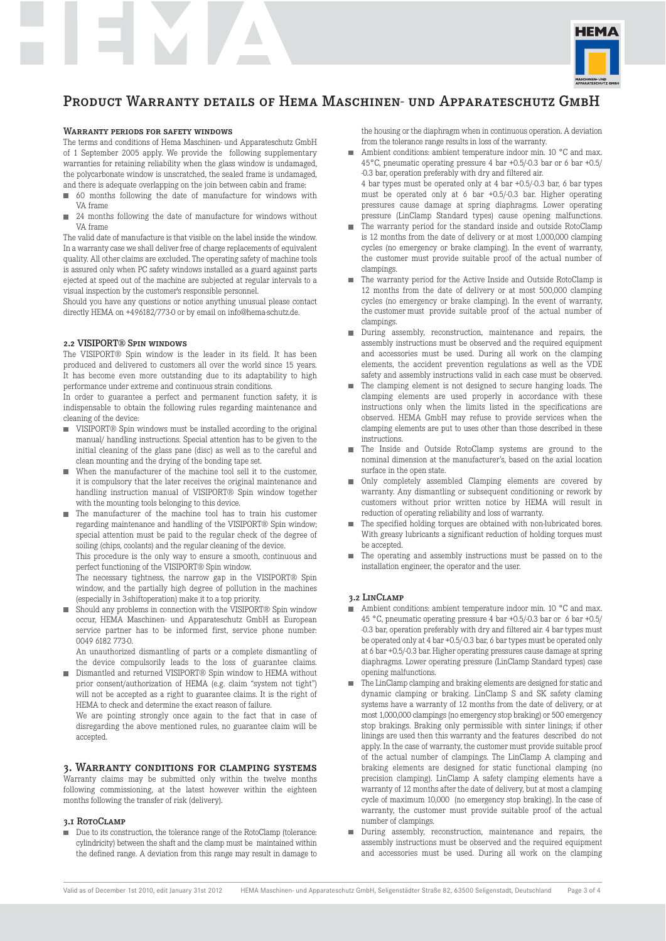

### Warranty periods for safety windows

The terms and conditions of Hema Maschinen- und Apparateschutz GmbH of 1 September 2005 apply. We provide the following supplementary warranties for retaining reliability when the glass window is undamaged, the polycarbonate window is unscratched, the sealed frame is undamaged, and there is adequate overlapping on the join between cabin and frame:

- 60 months following the date of manufacture for windows with ш VA frame
- 24 months following the date of manufacture for windows without VA frame

The valid date of manufacture is that visible on the label inside the window. In a warranty case we shall deliver free of charge replacements of equivalent quality. All other claims are excluded. The operating safety of machine tools is assured only when PC safety windows installed as a guard against parts ejected at speed out of the machine are subjected at regular intervals to a visual inspection by the customer's responsible personnel.

Should you have any questions or notice anything unusual please contact directly HEMA on +496182/773-0 or by email on info@hema-schutz.de.

### 2.2 VISIPORT® Spin windows

The VISIPORT® Spin window is the leader in its field. It has been produced and delivered to customers all over the world since 15 years. It has become even more outstanding due to its adaptability to high performance under extreme and continuous strain conditions.

In order to guarantee a perfect and permanent function safety, it is indispensable to obtain the following rules regarding maintenance and cleaning of the device:

- VISIPORT<sup>®</sup> Spin windows must be installed according to the original manual/ handling instructions. Special attention has to be given to the initial cleaning of the glass pane (disc) as well as to the careful and clean mounting and the drying of the bonding tape set.
- When the manufacturer of the machine tool sell it to the customer, it is compulsory that the later receives the original maintenance and handling instruction manual of VISIPORT® Spin window together with the mounting tools belonging to this device.
- The manufacturer of the machine tool has to train his customer regarding maintenance and handling of the VISIPORT® Spin window: special attention must be paid to the regular check of the degree of soiling (chips, coolants) and the regular cleaning of the device.

This procedure is the only way to ensure a smooth, continuous and perfect functioning of the VISIPORT® Spin window.

The necessary tightness, the narrow gap in the VISIPORT® Spin window, and the partially high degree of pollution in the machines (especially in 3-shiftoperation) make it to a top priority.

Should any problems in connection with the VISIPORT® Spin window occur, HEMA Maschinen- und Apparateschutz GmbH as European service partner has to be informed first, service phone number: 0049 6182 773-0.

An unauthorized dismantling of parts or a complete dismantling of the device compulsorily leads to the loss of guarantee claims.

■ Dismantled and returned VISIPORT<sup>®</sup> Spin window to HEMA without prior consent/authorization of HEMA (e.g. claim "system not tight") will not be accepted as a right to guarantee claims. It is the right of HEMA to check and determine the exact reason of failure.

We are pointing strongly once again to the fact that in case of disregarding the above mentioned rules, no guarantee claim will be accepted.

### 3. Warranty conditions for clamping systems

Warranty claims may be submitted only within the twelve months following commissioning, at the latest however within the eighteen months following the transfer of risk (delivery).

#### 3.I ROTOCLAMP

■ Due to its construction, the tolerance range of the RotoClamp (tolerance: cylindricity) between the shaft and the clamp must be maintained within the defined range. A deviation from this range may result in damage to the housing or the diaphragm when in continuous operation. A deviation from the tolerance range results in loss of the warranty.

- Ambient conditions: ambient temperature indoor min. 10 °C and max. 45°C, pneumatic operating pressure 4 bar +0.5/-0.3 bar or 6 bar +0.5/ -0.3 bar, operation preferably with dry and filtered air.
- 4 bar types must be operated only at 4 bar +0.5/-0.3 bar, 6 bar types must be operated only at 6 bar +0.5/-0.3 bar. Higher operating pressures cause damage at spring diaphragms. Lower operating pressure (LinClamp Standard types) cause opening malfunctions.
- The warranty period for the standard inside and outside RotoClamp is 12 months from the date of delivery or at most 1,000,000 clamping cycles (no emergency or brake clamping). In the event of warranty, the customer must provide suitable proof of the actual number of clampings.
- The warranty period for the Active Inside and Outside RotoClamp is 12 months from the date of delivery or at most 500,000 clamping cycles (no emergency or brake clamping). In the event of warranty, the customer must provide suitable proof of the actual number of clampings.
- **During assembly, reconstruction, maintenance and repairs, the** assembly instructions must be observed and the required equipment and accessories must be used. During all work on the clamping elements, the accident prevention regulations as well as the VDE safety and assembly instructions valid in each case must be observed.
- The clamping element is not designed to secure hanging loads. The clamping elements are used properly in accordance with these instructions only when the limits listed in the specifications are observed. HEMA GmbH may refuse to provide services when the clamping elements are put to uses other than those described in these instructions.
- The Inside and Outside RotoClamp systems are ground to the nominal dimension at the manufacturer's, based on the axial location surface in the open state.
- $\blacksquare$  Only completely assembled Clamping elements are covered by warranty. Any dismantling or subsequent conditioning or rework by customers without prior written notice by HEMA will result in reduction of operating reliability and loss of warranty.
- The specified holding torques are obtained with non-lubricated bores. With greasy lubricants a significant reduction of holding torques must be accepted.
- The operating and assembly instructions must be passed on to the installation engineer, the operator and the user.

### 3.2 LinClamp

- Ambient conditions: ambient temperature indoor min. 10 °C and max. 45 °C, pneumatic operating pressure 4 bar +0.5/-0.3 bar or 6 bar +0.5/ -0.3 bar, operation preferably with dry and filtered air. 4 bar types must be operated only at 4 bar +0.5/-0.3 bar, 6 bar types must be operated only at 6 bar +0.5/-0.3 bar. Higher operating pressures cause damage at spring diaphragms. Lower operating pressure (LinClamp Standard types) case opening malfunctions.
- The LinClamp clamping and braking elements are designed for static and dynamic clamping or braking. LinClamp S and SK safety claming systems have a warranty of 12 months from the date of delivery, or at most 1,000,000 clampings (no emergency stop braking) or 500 emergency stop brakings. Braking only permissible with sinter linings; if other linings are used then this warranty and the features described do not apply. In the case of warranty, the customer must provide suitable proof of the actual number of clampings. The LinClamp A clamping and braking elements are designed for static functional clamping (no precision clamping). LinClamp A safety clamping elements have a warranty of 12 months after the date of delivery, but at most a clamping cycle of maximum 10,000 (no emergency stop braking). In the case of warranty, the customer must provide suitable proof of the actual number of clampings.
- During assembly, reconstruction, maintenance and repairs, the assembly instructions must be observed and the required equipment and accessories must be used. During all work on the clamping